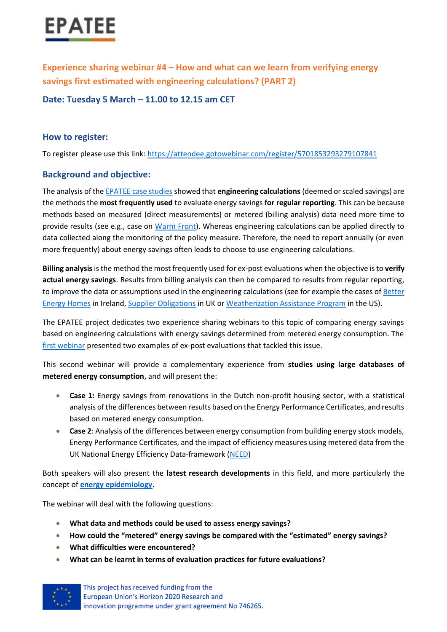

**Experience sharing webinar #4 – How and what can we learn from verifying energy savings first estimated with engineering calculations? (PART 2)**

**Date: Tuesday 5 March – 11.00 to 12.15 am CET**

#### **How to register:**

To register please use this link:<https://attendee.gotowebinar.com/register/5701853293279107841>

#### **Background and objective:**

The analysis of the [EPATEE case studies](https://epatee.eu/case-studies) showed that **engineering calculations** (deemed or scaled savings) are the methods the **most frequently used** to evaluate energy savings **for regular reporting**. This can be because methods based on measured (direct measurements) or metered (billing analysis) data need more time to provide results (see e.g., case on [Warm Front\)](https://epatee.eu/sites/default/files/epatee_case_study_uk_warm_front_ok.pdf). Whereas engineering calculations can be applied directly to data collected along the monitoring of the policy measure. Therefore, the need to report annually (or even more frequently) about energy savings often leads to choose to use engineering calculations.

**Billing analysis** is the method the most frequently used for ex-post evaluations when the objective is to **verify actual energy savings**. Results from billing analysis can then be compared to results from regular reporting, to improve the data or assumptions used in the engineering calculations (see for example the cases of [Better](https://epatee.eu/sites/default/files/epatee_case_study_ireland_better_energy_homes_ok.pdf)  [Energy Homes](https://epatee.eu/sites/default/files/epatee_case_study_ireland_better_energy_homes_ok.pdf) in Ireland, [Supplier Obligations](https://epatee.eu/sites/default/files/epatee_case_study_uk_supplier_obligations_ok.pdf) in UK or [Weatherization Assistance Program](https://epatee.eu/sites/default/files/epatee_case_study_us_weatherization_assistance_program_ok.pdf) in the US).

The EPATEE project dedicates two experience sharing webinars to this topic of comparing energy savings based on engineering calculations with energy savings determined from metered energy consumption. The [first webinar](https://epatee.eu/events/webinar-3-how-and-what-can-we-learn-verifying-energy-savings-first-estimated-engineering) presented two examples of ex-post evaluations that tackled this issue.

This second webinar will provide a complementary experience from **studies using large databases of metered energy consumption**, and will present the:

- **Case 1:** Energy savings from renovations in the Dutch non-profit housing sector, with a statistical analysis of the differences between results based on the Energy Performance Certificates, and results based on metered energy consumption.
- **Case 2**: Analysis of the differences between energy consumption from building energy stock models, Energy Performance Certificates, and the impact of efficiency measures using metered data from the UK National Energy Efficiency Data-framework [\(NEED\)](https://www.gov.uk/government/collections/national-energy-efficiency-data-need-framework)

Both speakers will also present the **latest research developments** in this field, and more particularly the concept of **[energy epidemiology](https://energyepidemiology.org/)**.

The webinar will deal with the following questions:

- **What data and methods could be used to assess energy savings?**
- **How could the "metered" energy savings be compared with the "estimated" energy savings?**
- **What difficulties were encountered?**
- **What can be learnt in terms of evaluation practices for future evaluations?**